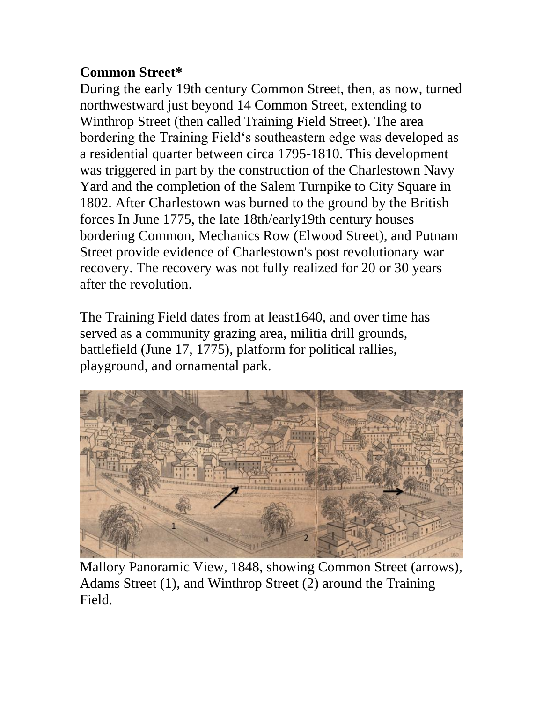## **Common Street\***

During the early 19th century Common Street, then, as now, turned northwestward just beyond 14 Common Street, extending to Winthrop Street (then called Training Field Street). The area bordering the Training Field's southeastern edge was developed as a residential quarter between circa 1795-1810. This development was triggered in part by the construction of the Charlestown Navy Yard and the completion of the Salem Turnpike to City Square in 1802. After Charlestown was burned to the ground by the British forces In June 1775, the late 18th/early19th century houses bordering Common, Mechanics Row (Elwood Street), and Putnam Street provide evidence of Charlestown's post revolutionary war recovery. The recovery was not fully realized for 20 or 30 years after the revolution.

The Training Field dates from at least1640, and over time has served as a community grazing area, militia drill grounds, battlefield (June 17, 1775), platform for political rallies, playground, and ornamental park.



Mallory Panoramic View, 1848, showing Common Street (arrows), Adams Street (1), and Winthrop Street (2) around the Training Field.